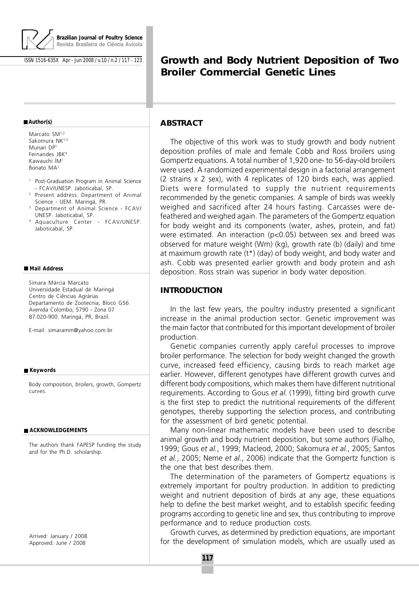

ISSN 1516-635X Apr - Jun 2008 / v.10 / n.2 / 117 - 123

# **Growth and Body Nutrient Deposition of Two Broiler Commercial Genetic Lines**

#### **Author(s)**

Marcato SM<sup>1,2</sup> Sakomura NK<sup>1,3</sup> Munari DP<sup>1</sup> Fernandes JBK<sup>4</sup> Kawauchi ÍM<sup>1</sup> Bonato MA<sup>1</sup>

- <sup>1</sup> Post-Graduation Program in Animal Science - FCAV/UNESP. Jaboticabal, SP.
- <sup>2</sup> Present address: Department of Animal Science - UEM. Maringá, PR.
- <sup>3</sup> Department of Animal Science FCAV/ UNESP. Jaboticabal, SP.
- <sup>4</sup> Aquaculture Center FCAV/UNESP. Jaboticabal, SP.

#### **Mail Address**

Simara Márcia Marcato Universidade Estadual de Maringá Centro de Ciências Agrárias Departamento de Zootecnia, Bloco G56 Avenida Colombo, 5790 - Zona 07 87.020-900. Maringá, PR, Brazil.

E-mail: simaramm@yahoo.com.br

#### **Keywords**

Body composition, broilers, growth, Gompertz curves.

#### **ACKNOWLEDGEMENTS**

The authors thank FAPESP funding the study and for the Ph.D. scholarship.

Arrived: January / 2008 Approved: June / 2008

### **ABSTRACT**

The objective of this work was to study growth and body nutrient deposition profiles of male and female Cobb and Ross broilers using Gompertz equations. A total number of 1,920 one- to 56-day-old broilers were used. A randomized experimental design in a factorial arrangement (2 strains x 2 sex), with 4 replicates of 120 birds each, was applied. Diets were formulated to supply the nutrient requirements recommended by the genetic companies. A sample of birds was weekly weighed and sacrificed after 24 hours fasting. Carcasses were defeathered and weighed again. The parameters of the Gompertz equation for body weight and its components (water, ashes, protein, and fat) were estimated. An interaction (p<0.05) between sex and breed was observed for mature weight (Wm) (kg), growth rate (b) (daily) and time at maximum growth rate (t\*) (day) of body weight, and body water and ash. Cobb was presented earlier growth and body protein and ash deposition. Ross strain was superior in body water deposition.

### **INTRODUCTION**

In the last few years, the poultry industry presented a significant increase in the animal production sector. Genetic improvement was the main factor that contributed for this important development of broiler production.

Genetic companies currently apply careful processes to improve broiler performance. The selection for body weight changed the growth curve, increased feed efficiency, causing birds to reach market age earlier. However, different genotypes have different growth curves and different body compositions, which makes them have different nutritional requirements. According to Gous et al. (1999), fitting bird growth curve is the first step to predict the nutritional requirements of the different genotypes, thereby supporting the selection process, and contributing for the assessment of bird genetic potential.

Many non-linear mathematic models have been used to describe animal growth and body nutrient deposition, but some authors (Fialho, 1999; Gous et al., 1999; Macleod, 2000; Sakomura et al., 2005; Santos et al., 2005; Neme et al., 2006) indicate that the Gompertz function is the one that best describes them.

The determination of the parameters of Gompertz equations is extremely important for poultry production. In addition to predicting weight and nutrient deposition of birds at any age, these equations help to define the best market weight, and to establish specific feeding programs according to genetic line and sex, thus contributing to improve performance and to reduce production costs.

Growth curves, as determined by prediction equations, are important for the development of simulation models, which are usually used as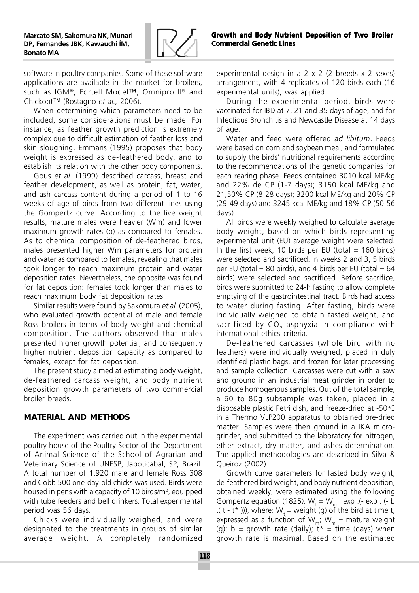

Growth and Body Nutrient Deposition of Two Broiler Commercial Genetic Lines

software in poultry companies. Some of these software applications are available in the market for broilers, such as IGM®, Fortell Model™, Omnipro II® and Chickopt™ (Rostagno et al., 2006).

When determining which parameters need to be included, some considerations must be made. For instance, as feather growth prediction is extremely complex due to difficult estimation of feather loss and skin sloughing, Emmans (1995) proposes that body weight is expressed as de-feathered body, and to establish its relation with the other body components.

Gous et al. (1999) described carcass, breast and feather development, as well as protein, fat, water, and ash carcass content during a period of 1 to 16 weeks of age of birds from two different lines using the Gompertz curve. According to the live weight results, mature males were heavier (Wm) and lower maximum growth rates (b) as compared to females. As to chemical composition of de-feathered birds, males presented higher Wm parameters for protein and water as compared to females, revealing that males took longer to reach maximum protein and water deposition rates. Nevertheless, the opposite was found for fat deposition: females took longer than males to reach maximum body fat deposition rates.

Similar results were found by Sakomura et al. (2005), who evaluated growth potential of male and female Ross broilers in terms of body weight and chemical composition. The authors observed that males presented higher growth potential, and consequently higher nutrient deposition capacity as compared to females, except for fat deposition.

The present study aimed at estimating body weight, de-feathered carcass weight, and body nutrient deposition growth parameters of two commercial broiler breeds.

## **MATERIAL AND METHODS**

The experiment was carried out in the experimental poultry house of the Poultry Sector of the Department of Animal Science of the School of Agrarian and Veterinary Science of UNESP, Jaboticabal, SP, Brazil. A total number of 1,920 male and female Ross 308 and Cobb 500 one-day-old chicks was used. Birds were housed in pens with a capacity of 10 birds/m<sup>2</sup>, equipped with tube feeders and bell drinkers. Total experimental period was 56 days.

Chicks were individually weighed, and were designated to the treatments in groups of similar average weight. A completely randomized experimental design in a 2 x 2 (2 breeds x 2 sexes) arrangement, with 4 replicates of 120 birds each (16 experimental units), was applied.

During the experimental period, birds were vaccinated for IBD at 7, 21 and 35 days of age, and for Infectious Bronchitis and Newcastle Disease at 14 days of age.

Water and feed were offered ad libitum. Feeds were based on corn and soybean meal, and formulated to supply the birds' nutritional requirements according to the recommendations of the genetic companies for each rearing phase. Feeds contained 3010 kcal ME/kg and 22% de CP (1-7 days); 3150 kcal ME/kg and 21,50% CP (8-28 days); 3200 kcal ME/kg and 20% CP (29-49 days) and 3245 kcal ME/kg and 18% CP (50-56 days).

All birds were weekly weighed to calculate average body weight, based on which birds representing experimental unit (EU) average weight were selected. In the first week, 10 birds per EU (total  $= 160$  birds) were selected and sacrificed. In weeks 2 and 3, 5 birds per EU (total = 80 birds), and 4 birds per EU (total =  $64$ birds) were selected and sacrificed. Before sacrifice, birds were submitted to 24-h fasting to allow complete emptying of the gastrointestinal tract. Birds had access to water during fasting. After fasting, birds were individually weighed to obtain fasted weight, and sacrificed by  $CO<sub>2</sub>$  asphyxia in compliance with international ethics criteria.

De-feathered carcasses (whole bird with no feathers) were individually weighed, placed in duly identified plastic bags, and frozen for later processing and sample collection. Carcasses were cut with a saw and ground in an industrial meat grinder in order to produce homogenous samples. Out of the total sample, a 60 to 80g subsample was taken, placed in a disposable plastic Petri dish, and freeze-dried at -50°C in a Thermo VLP200 apparatus to obtained pre-dried matter. Samples were then ground in a IKA microgrinder, and submitted to the laboratory for nitrogen, ether extract, dry matter, and ashes determination. The applied methodologies are described in Silva & Queiroz (2002).

Growth curve parameters for fasted body weight, de-feathered bird weight, and body nutrient deposition, obtained weekly, were estimated using the following Gompertz equation (1825):  $W_t = W_m$ . exp. (- exp. (- b .( t - t\* ))), where:  $W_t$  = weight (g) of the bird at time t, expressed as a function of W<sub>m</sub>; W<sub>m</sub> = mature weight (g); b = growth rate (daily);  $\bar{t}$ \* = time (days) when growth rate is maximal. Based on the estimated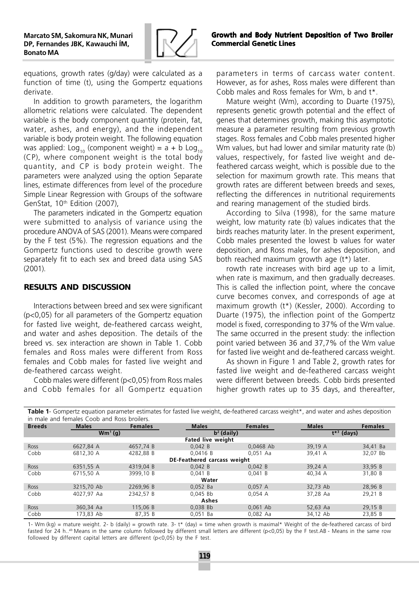

equations, growth rates (g/day) were calculated as a function of time (t), using the Gompertz equations derivate.

In addition to growth parameters, the logarithm allometric relations were calculated. The dependent variable is the body component quantity (protein, fat, water, ashes, and energy), and the independent variable is body protein weight. The following equation was applied:  $\text{Log}_{10}$  (component weight) = a + b  $\text{Log}_{10}$ (CP), where component weight is the total body quantity, and CP is body protein weight. The parameters were analyzed using the option Separate lines, estimate differences from level of the procedure Simple Linear Regression with Groups of the software GenStat, 10<sup>th</sup> Edition (2007),

The parameters indicated in the Gompertz equation were submitted to analysis of variance using the procedure ANOVA of SAS (2001). Means were compared by the F test (5%). The regression equations and the Gompertz functions used to describe growth were separately fit to each sex and breed data using SAS (2001).

### **RESULTS AND DISCUSSION**

Interactions between breed and sex were significant (p<0,05) for all parameters of the Gompertz equation for fasted live weight, de-feathered carcass weight, and water and ashes deposition. The details of the breed vs. sex interaction are shown in Table 1. Cobb females and Ross males were different from Ross females and Cobb males for fasted live weight and de-feathered carcass weight.

Cobb males were different (p<0,05) from Ross males and Cobb females for all Gompertz equation

parameters in terms of carcass water content. However, as for ashes, Ross males were different than Cobb males and Ross females for Wm, b and t\*.

Mature weight (Wm), according to Duarte (1975), represents genetic growth potential and the effect of genes that determines growth, making this asymptotic measure a parameter resulting from previous growth stages. Ross females and Cobb males presented higher Wm values, but had lower and similar maturity rate (b) values, respectively, for fasted live weight and defeathered carcass weight, which is possible due to the selection for maximum growth rate. This means that growth rates are different between breeds and sexes, reflecting the differences in nutritional requirements and rearing management of the studied birds.

According to Silva (1998), for the same mature weight, low maturity rate (b) values indicates that the birds reaches maturity later. In the present experiment, Cobb males presented the lowest b values for water deposition, and Ross males, for ashes deposition, and both reached maximum growth age (t\*) later.

rowth rate increases with bird age up to a limit, when rate is maximum, and then gradually decreases. This is called the inflection point, where the concave curve becomes convex, and corresponds of age at maximum growth (t\*) (Kessler, 2000). According to Duarte (1975), the inflection point of the Gompertz model is fixed, corresponding to 37% of the Wm value. The same occurred in the present study: the inflection point varied between 36 and 37,7% of the Wm value for fasted live weight and de-feathered carcass weight.

As shown in Figure 1 and Table 2, growth rates for fasted live weight and de-feathered carcass weight were different between breeds. Cobb birds presented higher growth rates up to 35 days, and thereafter,

|                                    | in male and females Coob and Ross broilers. |                |                          |                |                 |                |  |  |  |  |
|------------------------------------|---------------------------------------------|----------------|--------------------------|----------------|-----------------|----------------|--|--|--|--|
| <b>Breeds</b>                      | <b>Males</b>                                | <b>Females</b> | <b>Males</b>             | <b>Females</b> | <b>Males</b>    | <b>Females</b> |  |  |  |  |
|                                    | $Wm^1(q)$                                   |                | $b2$ (daily)             |                | $t^{*3}$ (days) |                |  |  |  |  |
|                                    |                                             |                | <b>Fated live weight</b> |                |                 |                |  |  |  |  |
| Ross                               | 6627.84 A                                   | 4657.74 B      | 0.042 B                  | 0.0468 Ab      | 39.19 A         | 34,41 Ba       |  |  |  |  |
| Cobb                               | 6812.30 A                                   | 4282.88 B      | 0.0416 B                 | $0.051$ Aa     | 39,41 A         | 32,07 Bb       |  |  |  |  |
| <b>DE-Feathered carcass weight</b> |                                             |                |                          |                |                 |                |  |  |  |  |
| <b>Ross</b>                        | 6351,55 A                                   | 4319.04 B      | 0,042 B                  | 0,042 B        | 39,24 A         | 33,95 B        |  |  |  |  |
| Cobb                               | 6715.50 A                                   | 3999.10 B      | 0.041 B                  | 0.041 B        | 40.34 A         | 31,80 B        |  |  |  |  |
| Water                              |                                             |                |                          |                |                 |                |  |  |  |  |
| Ross                               | 3215.70 Ab                                  | 2269.96 B      | $0.052$ Ba               | 0.057A         | 32.73 Ab        | 28.96 B        |  |  |  |  |
| Cobb                               | 4027,97 Aa                                  | 2342.57 B      | $0.045$ Bb               | 0.054A         | 37.28 Aa        | 29,21 B        |  |  |  |  |
| Ashes                              |                                             |                |                          |                |                 |                |  |  |  |  |
| <b>Ross</b>                        | 360,34 Aa                                   | 115.06 B       | $0.038$ Bb               | $0.061$ Ab     | 52,63 Aa        | 29.15 B        |  |  |  |  |
| Cobb                               | 173.83 Ab                                   | 87.35 B        | $0.051$ Ba               | $0.082$ Aa     | 34,12 Ab        | 23.85 B        |  |  |  |  |

Table 1- Gompertz equation parameter estimates for fasted live weight, de-feathered carcass weight<sup>\*</sup>, and water and ashes deposition

1- Wm (kg) = mature weight. 2- b (daily) = growth rate. 3- t\* (day) = time when growth is maximal\* Weight of the de-feathered carcass of bird fasted for 24 h..<sup>ab</sup> Means in the same column followed by different small letters are different (p<0,05) by the F test.AB - Means in the same row followed by different capital letters are different (p<0,05) by the F test.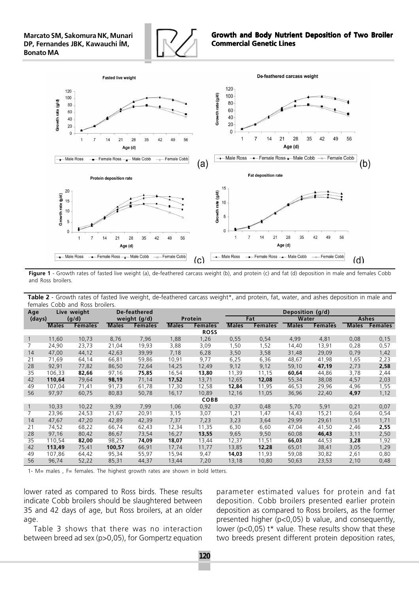



Figure 1 - Growth rates of fasted live weight (a), de-feathered carcass weight (b), and protein (c) and fat (d) deposition in male and females Cobb and Ross broilers.

Table 2 - Growth rates of fasted live weight, de-feathered carcass weight\*, and protein, fat, water, and ashes deposition in male and females Cobb and Ross broilers.

| Age             | Live weight  |                |              | De-feathered   |              | Deposition (g/d) |              |                |              |                |              |                |
|-----------------|--------------|----------------|--------------|----------------|--------------|------------------|--------------|----------------|--------------|----------------|--------------|----------------|
| (days)<br>(g/d) |              | weight (g/d)   |              | Protein        |              |                  | Fat          |                | Water        |                | Ashes        |                |
|                 | <b>Males</b> | <b>Females</b> | <b>Males</b> | <b>Females</b> | <b>Males</b> | <b>Females</b>   | <b>Males</b> | <b>Females</b> | <b>Males</b> | <b>Females</b> | <b>Males</b> | <b>Females</b> |
|                 |              |                |              |                |              | <b>ROSS</b>      |              |                |              |                |              |                |
| $\overline{1}$  | 11,60        | 10,73          | 8,76         | 7,96           | 1,88         | 1,26             | 0,55         | 0,54           | 4,99         | 4,81           | 0,08         | 0,15           |
|                 | 24,90        | 23,73          | 21,04        | 19,93          | 3,88         | 3,09             | 1,50         | 1,52           | 14,40        | 13,91          | 0,28         | 0,57           |
| 14              | 47,00        | 44,12          | 42,63        | 39,99          | 7,18         | 6,28             | 3,50         | 3,58           | 31,48        | 29,09          | 0,79         | 1,42           |
| 21              | 71,69        | 64,14          | 66,81        | 59,86          | 10,91        | 9,77             | 6,25         | 6,36           | 48,67        | 41,98          | 1,65         | 2,23           |
| 28              | 92,91        | 77,82          | 86,50        | 72,64          | 14,25        | 12,49            | 9,12         | 9,12           | 59,10        | 47,19          | 2,73         | 2,58           |
| 35              | 106,33       | 82,66          | 97,16        | 75,85          | 16,54        | 13,80            | 11,39        | 11,15          | 60,64        | 44,86          | 3,78         | 2,44           |
| 42              | 110,64       | 79,64          | 98,19        | 71,14          | 17,52        | 13,71            | 12,65        | 12,08          | 55,34        | 38,08          | 4,57         | 2,03           |
| 49              | 107,04       | 71,41          | 91,73        | 61,78          | 17,30        | 12,58            | 12,84        | 11,95          | 46,53        | 29,96          | 4,96         | 1,55           |
| 56              | 97,97        | 60,75          | 80,83        | 50,78          | 16,17        | 10,89            | 12,16        | 11,05          | 36,96        | 22,40          | 4,97         | 1,12           |
|                 |              |                |              |                |              | <b>COBB</b>      |              |                |              |                |              |                |
| $\mathbf{1}$    | 10,33        | 10,22          | 9,39         | 7,99           | 1,06         | 0,92             | 0,37         | 0,48           | 5,70         | 5,91           | 0,21         | 0,07           |
| 7               | 23,96        | 24,53          | 21,67        | 20,91          | 3,15         | 3,07             | 1,21         | 1,47           | 14,43        | 15,21          | 0,64         | 0,54           |
| 14              | 47,67        | 47,20          | 42,89        | 42,39          | 7,37         | 7,23             | 3,23         | 3,64           | 29,99        | 29,61          | 1,51         | 1,71           |
| 21              | 74,52        | 68,22          | 66,74        | 62,43          | 12,34        | 11,35            | 6,30         | 6,60           | 47,04        | 41,50          | 2,46         | 2,55           |
| 28              | 97,16        | 80,42          | 86,67        | 73,54          | 16,27        | 13,55            | 9,65         | 9,50           | 60,08        | 46,43          | 3,11         | 2,50           |
| 35              | 110,54       | 82,00          | 98,25        | 74,09          | 18,07        | 13,44            | 12,37        | 11,51          | 66,03        | 44,53          | 3,28         | 1,92           |
| 42              | 113,49       | 75,41          | 100,57       | 66,91          | 17,74        | 11,77            | 13,85        | 12,28          | 65,01        | 38,41          | 3,05         | 1,29           |
| 49              | 107,86       | 64,42          | 95,34        | 55,97          | 15,94        | 9,47             | 14,03        | 11,93          | 59,08        | 30,82          | 2,61         | 0,80           |
| 56              | 96,74        | 52,22          | 85,31        | 44,37          | 13,44        | 7,20             | 13,18        | 10,80          | 50,63        | 23,53          | 2,10         | 0,48           |

1- M= males , F= females. The highest growth rates are shown in bold letters.

lower rated as compared to Ross birds. These results indicate Cobb broilers should be slaughtered between 35 and 42 days of age, but Ross broilers, at an older age.

Table 3 shows that there was no interaction between breed ad sex (p>0,05), for Gompertz equation

parameter estimated values for protein and fat deposition. Cobb broilers presented earlier protein deposition as compared to Ross broilers, as the former presented higher (p<0,05) b value, and consequently, lower ( $p$ <0,05)  $t^*$  value. These results show that these two breeds present different protein deposition rates,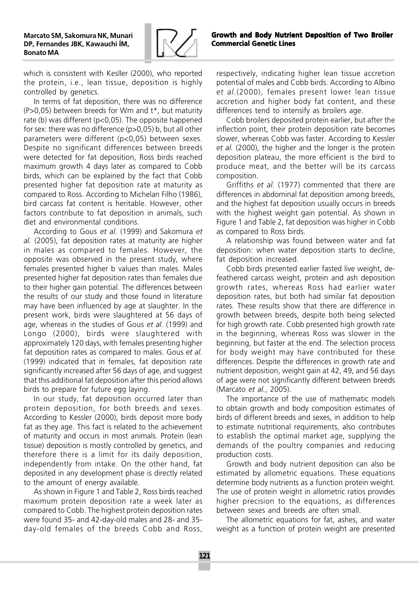

which is consistent with Kesller (2000), who reported the protein, i.e., lean tissue, deposition is highly controlled by genetics.

In terms of fat deposition, there was no difference  $(P>0,05)$  between breeds for Wm and  $t<sup>*</sup>$ , but maturity rate (b) was different (p<0,05). The opposite happened for sex: there was no difference (p>0,05) b, but all other parameters were different (p<0,05) between sexes. Despite no significant differences between breeds were detected for fat deposition, Ross birds reached maximum growth 4 days later as compared to Cobb birds, which can be explained by the fact that Cobb presented higher fat deposition rate at maturity as compared to Ross. According to Michelan Filho (1986), bird carcass fat content is heritable. However, other factors contribute to fat deposition in animals, such diet and environmental conditions.

According to Gous et al. (1999) and Sakomura et al. (2005), fat deposition rates at maturity are higher in males as compared to females. However, the opposite was observed in the present study, where females presented higher b values than males. Males presented higher fat deposition rates than females due to their higher gain potential. The differences between the results of our study and those found in literature may have been influenced by age at slaughter. In the present work, birds were slaughtered at 56 days of age, whereas in the studies of Gous et al. (1999) and Longo (2000), birds were slaughtered with approximately 120 days, with females presenting higher fat deposition rates as compared to males. Gous et al. (1999) indicated that in females, fat deposition rate significantly increased after 56 days of age, and suggest that this additional fat deposition after this period allows birds to prepare for future egg laying.

In our study, fat deposition occurred later than protein deposition, for both breeds and sexes. According to Kessler (2000), birds deposit more body fat as they age. This fact is related to the achievement of maturity and occurs in most animals. Protein (lean tissue) deposition is mostly controlled by genetics, and therefore there is a limit for its daily deposition, independently from intake. On the other hand, fat deposited in any development phase is directly related to the amount of energy available.

As shown in Figure 1 and Table 2, Ross birds reached maximum protein deposition rate a week later as compared to Cobb. The highest protein deposition rates were found 35- and 42-day-old males and 28- and 35 day-old females of the breeds Cobb and Ross, respectively, indicating higher lean tissue accretion potential of males and Cobb birds. According to Albino et al.(2000), females present lower lean tissue accretion and higher body fat content, and these differences tend to intensify as broilers age.

Cobb broilers deposited protein earlier, but after the inflection point, their protein deposition rate becomes slower, whereas Cobb was faster. According to Kessler et al. (2000), the higher and the longer is the protein deposition plateau, the more efficient is the bird to produce meat, and the better will be its carcass composition.

Griffiths et al. (1977) commented that there are differences in abdominal fat deposition among breeds, and the highest fat deposition usually occurs in breeds with the highest weight gain potential. As shown in Figure 1 and Table 2, fat deposition was higher in Cobb as compared to Ross birds.

A relationship was found between water and fat deposition: when water deposition starts to decline, fat deposition increased.

Cobb birds presented earlier fasted live weight, defeathered carcass weight, protein and ash deposition growth rates, whereas Ross had earlier water deposition rates, but both had similar fat deposition rates. These results show that there are difference in growth between breeds, despite both being selected for high growth rate. Cobb presented high growth rate in the beginning, whereas Ross was slower in the beginning, but faster at the end. The selection process for body weight may have contributed for these differences. Despite the differences in growth rate and nutrient deposition, weight gain at 42, 49, and 56 days of age were not significantly different between breeds (Marcato et al., 2005).

The importance of the use of mathematic models to obtain growth and body composition estimates of birds of different breeds and sexes, in addition to help to estimate nutritional requirements, also contributes to establish the optimal market age, supplying the demands of the poultry companies and reducing production costs.

Growth and body nutrient deposition can also be estimated by allometric equations. These equations determine body nutrients as a function protein weight. The use of protein weight in allometric ratios provides higher precision to the equations, as differences between sexes and breeds are often small.

The allometric equations for fat, ashes, and water weight as a function of protein weight are presented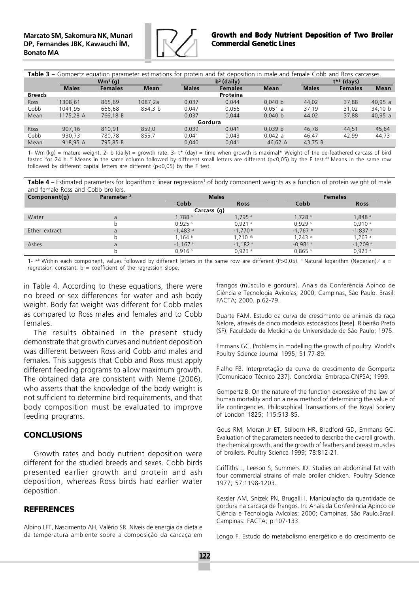

| Table 3 – Gompertz equation parameter estimations for protein and fat deposition in male and female Cobb and Ross carcasses. |              |                |             |              |                |             |              |                 |             |  |
|------------------------------------------------------------------------------------------------------------------------------|--------------|----------------|-------------|--------------|----------------|-------------|--------------|-----------------|-------------|--|
|                                                                                                                              | $Wm^1(q)$    |                |             |              | $b2$ (daily)   |             |              | $t^{*3}$ (days) |             |  |
|                                                                                                                              | <b>Males</b> | <b>Females</b> | <b>Mean</b> | <b>Males</b> | <b>Females</b> | <b>Mean</b> | <b>Males</b> | <b>Females</b>  | <b>Mean</b> |  |
| <b>Breeds</b>                                                                                                                |              |                |             |              | Proteína       |             |              |                 |             |  |
| Ross                                                                                                                         | 1308.61      | 865.69         | 1087.2a     | 0.037        | 0.044          | 0.040 b     | 44.02        | 37.88           | 40.95 a     |  |
| Cobb                                                                                                                         | 1041.95      | 666.68         | 854.3 b     | 0.047        | 0.056          | 0.051 a     | 37.19        | 31.02           | 34,10 b     |  |
| Mean                                                                                                                         | 1175,28 A    | 766,18 B       |             | 0.037        | 0.044          | 0.040 b     | 44.02        | 37,88           | 40,95 a     |  |
| Gordura                                                                                                                      |              |                |             |              |                |             |              |                 |             |  |
| Ross                                                                                                                         | 907.16       | 810.91         | 859.0       | 0.039        | 0.041          | 0.039 b     | 46.78        | 44.51           | 45.64       |  |
| Cobb                                                                                                                         | 930.73       | 780.78         | 855.7       | 0.041        | 0.043          | 0.042 a     | 46.47        | 42.99           | 44,73       |  |
| Mean                                                                                                                         | 918,95 A     | 795,85 B       |             | 0.040        | 0.041          | 46,62 A     | 43,75 B      |                 |             |  |

1- Wm (kg) = mature weight. 2- b (daily) = growth rate. 3- t\* (day) = time when growth is maximal\* Weight of the de-feathered carcass of bird fasted for 24 h..<sup>ab</sup> Means in the same column followed by different small letters are different (p<0,05) by the F test.<sup>AB</sup> Means in the same row followed by different capital letters are different  $(p<0.05)$  by the F test.

Table 4 – Estimated parameters for logarithmic linear regressions<sup>1</sup> of body component weights as a function of protein weight of male and female Ross and Cobb broilers.

| Component(q)  | Parameter <sup>2</sup> |                       | <b>Males</b>          |                       | <b>Females</b>        |  |  |  |  |
|---------------|------------------------|-----------------------|-----------------------|-----------------------|-----------------------|--|--|--|--|
|               |                        | Cobb                  | <b>Ross</b>           | Cobb                  | <b>Ross</b>           |  |  |  |  |
| Carcass (g)   |                        |                       |                       |                       |                       |  |  |  |  |
| Water         | a                      | $1,788$ <sup>a</sup>  | $1.795$ <sup>a</sup>  | $1,728$ <sup>a</sup>  | $1,848$ <sup>a</sup>  |  |  |  |  |
|               |                        | $0.925$ <sup>a</sup>  | $0,921$ <sup>a</sup>  | 0.929a                | 0.910a                |  |  |  |  |
| Ether extract | a                      | $-1,483$ <sup>a</sup> | $-1.770$ b            | $-1.767$ b            | $-1,837$ b            |  |  |  |  |
|               |                        | $1,164$ b             | .210a                 | $1.243$ <sup>a</sup>  | $1.263$ <sup>a</sup>  |  |  |  |  |
| Ashes         | a                      | $-1,167$ <sup>a</sup> | $-1,182$ <sup>a</sup> | $-0,981$ <sup>a</sup> | $-1,209$ <sup>a</sup> |  |  |  |  |
|               |                        | 0,916a                | $0,923$ <sup>a</sup>  | $0,865$ <sup>a</sup>  | 0,923a                |  |  |  |  |

1-  $a-b$  Within each component, values followed by different letters in the same row are different (P>0,05). 'Natural logarithm (Neperian).<sup>2</sup> a = regression constant;  $b =$  coefficient of the regression slope.

in Table 4. According to these equations, there were no breed or sex differences for water and ash body weight. Body fat weight was different for Cobb males as compared to Ross males and females and to Cobb females.

The results obtained in the present study demonstrate that growth curves and nutrient deposition was different between Ross and Cobb and males and females. This suggests that Cobb and Ross must apply different feeding programs to allow maximum growth. The obtained data are consistent with Neme (2006), who asserts that the knowledge of the body weight is not sufficient to determine bird requirements, and that body composition must be evaluated to improve feeding programs.

### **CONCLUSIONS**

Growth rates and body nutrient deposition were different for the studied breeds and sexes. Cobb birds presented earlier growth and protein and ash deposition, whereas Ross birds had earlier water deposition.

### **REFERENCES**

Albino LFT, Nascimento AH, Valério SR. Níveis de energia da dieta e da temperatura ambiente sobre a composição da carcaça em frangos (músculo e gordura). Anais da Conferência Apinco de Ciência e Tecnologia Avícolas; 2000; Campinas, São Paulo. Brasil: FACTA; 2000. p.62-79.

Duarte FAM. Estudo da curva de crescimento de animais da raça Nelore, através de cinco modelos estocásticos [tese]. Ribeirão Preto (SP): Faculdade de Medicina de Universidade de São Paulo; 1975.

Emmans GC. Problems in modelling the growth of poultry. World's Poultry Science Journal 1995; 51:77-89.

Fialho FB. Interpretação da curva de crescimento de Gompertz [Comunicado Técnico 237]. Concórdia: Embrapa-CNPSA; 1999.

Gompertz B. On the nature of the function expressive of the law of human mortality and on a new method of determining the value of life contingencies. Philosophical Transactions of the Royal Society of London 1825; 115:513-85.

Gous RM, Moran Jr ET, Stilborn HR, Bradford GD, Emmans GC. Evaluation of the parameters needed to describe the overall growth, the chemical growth, and the growth of feathers and breast muscles of broilers. Poultry Science 1999; 78:812-21.

Griffiths L, Leeson S, Summers JD. Studies on abdominal fat with four commercial strains of male broiler chicken. Poultry Science 1977; 57:1198-1203.

Kessler AM, Snizek PN, Brugalli I. Manipulação da quantidade de gordura na carcaça de frangos. In: Anais da Conferência Apinco de Ciência e Tecnologia Avícolas; 2000; Campinas, São Paulo.Brasil. Campinas: FACTA; p.107-133.

Longo F. Estudo do metabolismo energético e do crescimento de